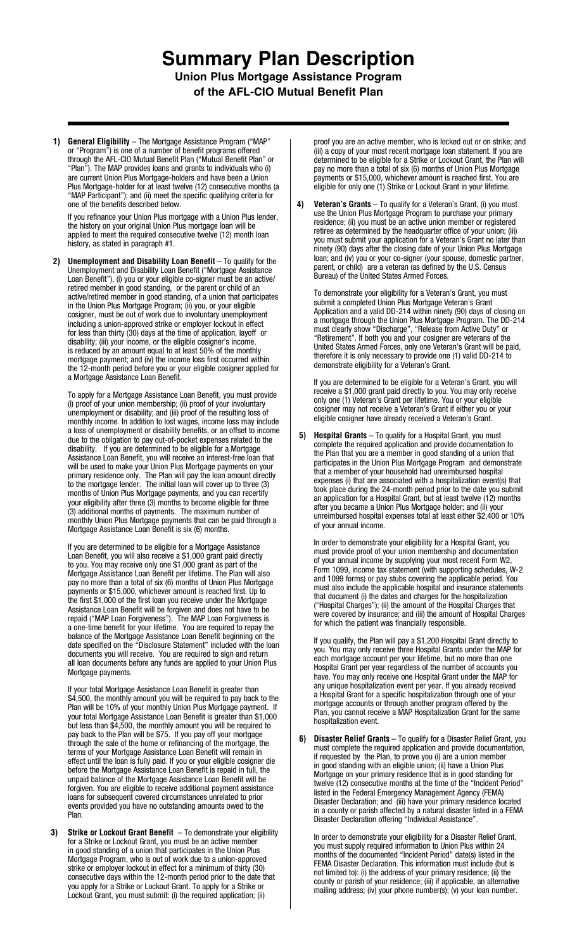## **Summary Plan Description Union Plus Mortgage Assistance Program of the AFL-CIO Mutual Benefit Plan**

**1) General Eligibility** – The Mortgage Assistance Program ("MAP" or "Program") is one of a number of benefit programs offered through the AFL-CIO Mutual Benefit Plan ("Mutual Benefit Plan" or "Plan"). The MAP provides loans and grants to individuals who (i) are current Union Plus Mortgage-holders and have been a Union Plus Mortgage-holder for at least twelve (12) consecutive months (a "MAP Participant"); and (ii) meet the specific qualifying criteria for one of the benefits described below.

If you refinance your Union Plus mortgage with a Union Plus lender, the history on your original Union Plus mortgage loan will be applied to meet the required consecutive twelve (12) month loan history, as stated in paragraph #1.

 **2) Unemployment and Disability Loan Benefit** – To qualify for the Unemployment and Disability Loan Benefit ("Mortgage Assistance Loan Benefit"), (i) you or your eligible co-signer must be an active/ retired member in good standing, or the parent or child of an active/retired member in good standing, of a union that participates in the Union Plus Mortgage Program; (ii) you, or your eligible cosigner, must be out of work due to involuntary unemployment including a union-approved strike or employer lockout in effect for less than thirty (30) days at the time of application, layoff or disability; (iii) your income, or the eligible cosigner's income, is reduced by an amount equal to at least 50% of the monthly mortgage payment; and (iv) the income loss first occurred within the 12-month period before you or your eligible cosigner applied for a Mortgage Assistance Loan Benefit.

To apply for a Mortgage Assistance Loan Benefit, you must provide (i) proof of your union membership; (ii) proof of your involuntary unemployment or disability; and (iii) proof of the resulting loss of monthly income. In addition to lost wages, income loss may include a loss of unemployment or disability benefits, or an offset to income due to the obligation to pay out-of-pocket expenses related to the disability. If you are determined to be eligible for a Mortgage Assistance Loan Benefit, you will receive an interest-free loan that will be used to make your Union Plus Mortgage payments on your primary residence only. The Plan will pay the loan amount directly to the mortgage lender. The initial loan will cover up to three (3) months of Union Plus Mortgage payments, and you can recertify your eligibility after three (3) months to become eligible for three (3) additional months of payments. The maximum number of monthly Union Plus Mortgage payments that can be paid through a Mortgage Assistance Loan Benefit is six (6) months.

If you are determined to be eligible for a Mortgage Assistance Loan Benefit, you will also receive a \$1,000 grant paid directly to you. You may receive only one \$1,000 grant as part of the Mortgage Assistance Loan Benefit per lifetime. The Plan will also pay no more than a total of six (6) months of Union Plus Mortgage payments or \$15,000, whichever amount is reached first. Up to the first \$1,000 of the first loan you receive under the Mortgage Assistance Loan Benefit will be forgiven and does not have to be repaid ("MAP Loan Forgiveness"). The MAP Loan Forgiveness is a one-time benefit for your lifetime. You are required to repay the balance of the Mortgage Assistance Loan Benefit beginning on the date specified on the "Disclosure Statement" included with the loan documents you will receive. You are required to sign and return all loan documents before any funds are applied to your Union Plus Mortgage payments.

If your total Mortgage Assistance Loan Benefit is greater than \$4,500, the monthly amount you will be required to pay back to the Plan will be 10% of your monthly Union Plus Mortgage payment. If your total Mortgage Assistance Loan Benefit is greater than \$1,000 but less than \$4,500, the monthly amount you will be required to pay back to the Plan will be \$75. If you pay off your mortgage through the sale of the home or refinancing of the mortgage, the terms of your Mortgage Assistance Loan Benefit will remain in effect until the loan is fully paid. If you or your eligible cosigner die before the Mortgage Assistance Loan Benefit is repaid in full, the unpaid balance of the Mortgage Assistance Loan Benefit will be forgiven. You are eligible to receive additional payment assistance loans for subsequent covered circumstances unrelated to prior events provided you have no outstanding amounts owed to the Plan.

**3) Strike or Lockout Grant Benefit** – To demonstrate your eligibility for a Strike or Lockout Grant, you must be an active member in good standing of a union that participates in the Union Plus Mortgage Program, who is out of work due to a union-approved strike or employer lockout in effect for a minimum of thirty (30) consecutive days within the 12-month period prior to the date that you apply for a Strike or Lockout Grant. To apply for a Strike or Lockout Grant, you must submit: (i) the required application; (ii)

proof you are an active member, who is locked out or on strike; and (iii) a copy of your most recent mortgage loan statement. If you are determined to be eligible for a Strike or Lockout Grant, the Plan will pay no more than a total of six (6) months of Union Plus Mortgage payments or \$15,000, whichever amount is reached first. You are eligible for only one (1) Strike or Lockout Grant in your lifetime.

**4) Veteran's Grants** – To qualify for a Veteran's Grant, (i) you must use the Union Plus Mortgage Program to purchase your primary residence; (ii) you must be an active union member or registered retiree as determined by the headquarter office of your union; (iii) you must submit your application for a Veteran's Grant no later than ninety (90) days after the closing date of your Union Plus Mortgage loan; and (iv) you or your co-signer (your spouse, domestic partner, parent, or child) are a veteran (as defined by the U.S. Census Bureau) of the United States Armed Forces.

To demonstrate your eligibility for a Veteran's Grant, you must submit a completed Union Plus Mortgage Veteran's Grant Application and a valid DD-214 within ninety (90) days of closing on a mortgage through the Union Plus Mortgage Program. The DD-214 must clearly show "Discharge", "Release from Active Duty" or "Retirement". If both you and your cosigner are veterans of the United States Armed Forces, only one Veteran's Grant will be paid, therefore it is only necessary to provide one (1) valid DD-214 to demonstrate eligibility for a Veteran's Grant.

If you are determined to be eligible for a Veteran's Grant, you will receive a \$1,000 grant paid directly to you. You may only receive only one (1) Veteran's Grant per lifetime. You or your eligible cosigner may not receive a Veteran's Grant if either you or your eligible cosigner have already received a Veteran's Grant.

 **5) Hospital Grants** – To qualify for a Hospital Grant, you must complete the required application and provide documentation to the Plan that you are a member in good standing of a union that participates in the Union Plus Mortgage Program and demonstrate that a member of your household had unreimbursed hospital expenses (i) that are associated with a hospitalization event(s) that took place during the 24-month period prior to the date you submit an application for a Hospital Grant, but at least twelve (12) months after you became a Union Plus Mortgage holder; and (ii) your unreimbursed hospital expenses total at least either \$2,400 or 10% of your annual income.

In order to demonstrate your eligibility for a Hospital Grant, you must provide proof of your union membership and documentation of your annual income by supplying your most recent Form W2, Form 1099, income tax statement (with supporting schedules, W-2 and 1099 forms) or pay stubs covering the applicable period. You must also include the applicable hospital and insurance statements that document (i) the dates and charges for the hospitalization ("Hospital Charges"); (ii) the amount of the Hospital Charges that were covered by insurance; and (iii) the amount of Hospital Charges for which the patient was financially responsible.

If you qualify, the Plan will pay a \$1,200 Hospital Grant directly to you. You may only receive three Hospital Grants under the MAP for each mortgage account per your lifetime, but no more than one Hospital Grant per year regardless of the number of accounts you have. You may only receive one Hospital Grant under the MAP for any unique hospitalization event per year. If you already received a Hospital Grant for a specific hospitalization through one of your mortgage accounts or through another program offered by the Plan, you cannot receive a MAP Hospitalization Grant for the same hospitalization event.

 **6) Disaster Relief Grants** – To qualify for a Disaster Relief Grant, you must complete the required application and provide documentation, if requested by the Plan, to prove you (i) are a union member in good standing with an eligible union; (ii) have a Union Plus Mortgage on your primary residence that is in good standing for twelve (12) consecutive months at the time of the "Incident Period" listed in the Federal Emergency Management Agency (FEMA) Disaster Declaration; and (iii) have your primary residence located in a county or parish affected by a natural disaster listed in a FEMA Disaster Declaration offering "Individual Assistance".

In order to demonstrate your eligibility for a Disaster Relief Grant, you must supply required information to Union Plus within 24 months of the documented "Incident Period" date(s) listed in the FEMA Disaster Declaration. This information must include (but is not limited to): (i) the address of your primary residence; (ii) the county or parish of your residence; (iii) if applicable, an alternative mailing address; (iv) your phone number(s); (v) your loan number.